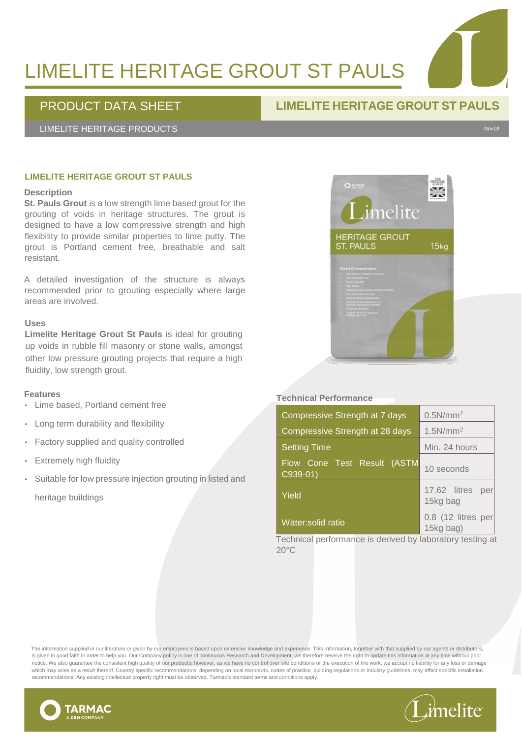# LIMELITE HERITAGE GROUT ST PAULS

### PRODUCT DATA SHEET **LIMELITE HERITAGE GROUT ST PAULS**

LIMELITE HERITAGE PRODUCTS Nov18

#### **LIMELITE HERITAGE GROUT ST PAULS**

#### **Description**

**St. Pauls Grout** is a low strength lime based grout for the grouting of voids in heritage structures. The grout is designed to have a low compressive strength and high flexibility to provide similar properties to lime putty. The grout is Portland cement free, breathable and salt resistant.

A detailed investigation of the structure is always recommended prior to grouting especially where large areas are involved.

#### **Uses**

**Limelite Heritage Grout St Pauls** is ideal for grouting up voids in rubble fill masonry or stone walls, amongst other low pressure grouting projects that require a high fluidity, low strength grout.

#### **Features**

- Lime based, Portland cement free
- Long term durability and flexibility
- Factory supplied and quality controlled
- **Extremely high fluidity**
- Suitable for low pressure injection grouting in listed and heritage buildings



#### **Technical Performance**

| Compressive Strength at 7 days          | 0.5N/mm <sup>2</sup>            |
|-----------------------------------------|---------------------------------|
| Compressive Strength at 28 days         | 1.5N/mm <sup>2</sup>            |
| <b>Setting Time</b>                     | Min. 24 hours                   |
| Flow Cone Test Result_(ASTM<br>C939-01) | 10 seconds                      |
| Yield                                   | 17.62 litres<br>per<br>15kg bag |
| Water:solid ratio                       | 0.8 (12 litres per<br>15kg bag) |

Technical performance is derived by laboratory testing at 20°C

The information supplied in our literature or given by our employees is based upon extensive knowledge and experience. This information, together with that supplied by our agents or distributors, is given in good faith in order to help you. Our Company policy is one of continuous Research and Development; we therefore reserve the right to update this information at any time without prior notice. We also guarantee the consistent high quality of our products; however, as we have no control over site conditions or the execution of the work, we accept no liability for any loss or damage which may arise as a result thereof. Country specific recommendations, depending on local standards, codes of practice, building regulations or industry guidelines, may affect specific installation recommendations. Any existing intellectual property right must be observed. Tarmac's standard terms and conditions apply.